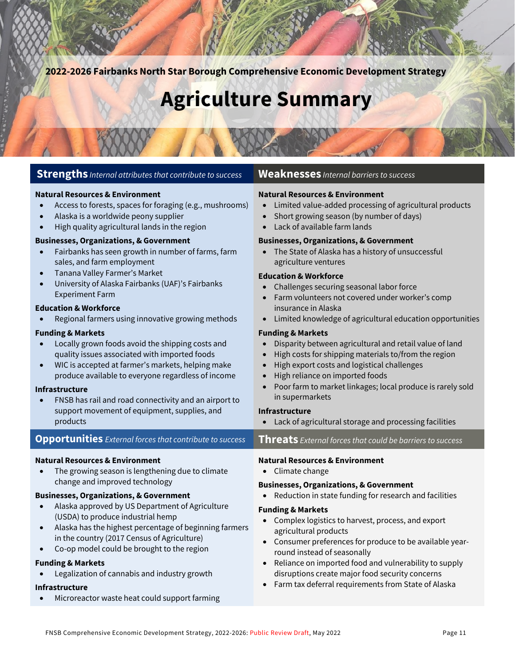**2022-2026 Fairbanks North Star Borough Comprehensive Economic Development Strategy**

# **Agriculture Summary**

#### **Strengths** *Internal attributes that contribute to success* **Weaknesses** *Internal barriers to success*

#### **Natural Resources & Environment**

- Access to forests, spaces for foraging (e.g., mushrooms)
- Alaska is a worldwide peony supplier
- High quality agricultural lands in the region

#### **Businesses, Organizations, & Government**

- Fairbanks has seen growth in number of farms, farm sales, and farm employment
- Tanana Valley Farmer's Market
- University of Alaska Fairbanks (UAF)'s Fairbanks Experiment Farm

#### **Education & Workforce**

• Regional farmers using innovative growing methods

#### **Funding & Markets**

- Locally grown foods avoid the shipping costs and quality issues associated with imported foods
- WIC is accepted at farmer's markets, helping make produce available to everyone regardless of income

#### **Infrastructure**

• FNSB has rail and road connectivity and an airport to support movement of equipment, supplies, and products

#### **Opportunities** *External forces that contribute to success* **Threats** *External forces that could be barriers to success*

#### **Natural Resources & Environment**

The growing season is lengthening due to climate change and improved technology

#### **Businesses, Organizations, & Government**

- Alaska approved by US Department of Agriculture (USDA) to produce industrial hemp
- Alaska has the highest percentage of beginning farmers in the country (2017 Census of Agriculture)
- Co-op model could be brought to the region

#### **Funding & Markets**

• Legalization of cannabis and industry growth

#### **Infrastructure**

• Microreactor waste heat could support farming

#### **Natural Resources & Environment**

- Limited value-added processing of agricultural products
- Short growing season (by number of days)
- Lack of available farm lands

#### **Businesses, Organizations, & Government**

• The State of Alaska has a history of unsuccessful agriculture ventures

#### **Education & Workforce**

- Challenges securing seasonal labor force
- Farm volunteers not covered under worker's comp insurance in Alaska
- Limited knowledge of agricultural education opportunities

#### **Funding & Markets**

- Disparity between agricultural and retail value of land
- High costs for shipping materials to/from the region
- High export costs and logistical challenges
- High reliance on imported foods
- Poor farm to market linkages; local produce is rarely sold in supermarkets

#### **Infrastructure**

• Lack of agricultural storage and processing facilities

#### **Natural Resources & Environment**

• Climate change

#### **Businesses, Organizations, & Government**

• Reduction in state funding for research and facilities

#### **Funding & Markets**

- Complex logistics to harvest, process, and export agricultural products
- Consumer preferences for produce to be available yearround instead of seasonally
- Reliance on imported food and vulnerability to supply disruptions create major food security concerns
- Farm tax deferral requirements from State of Alaska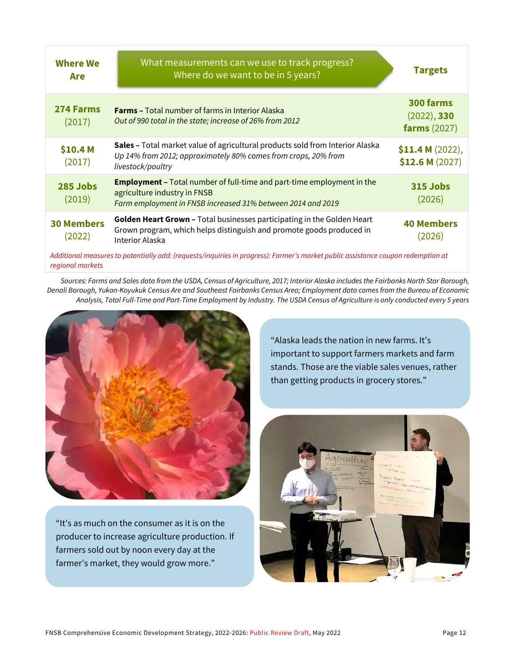| <b>Where We</b><br>Are      | What measurements can we use to track progress?<br>Where do we want to be in 5 years?                                                                                        |                                                 |  |  |
|-----------------------------|------------------------------------------------------------------------------------------------------------------------------------------------------------------------------|-------------------------------------------------|--|--|
| 274 Farms<br>(2017)         | <b>Farms - Total number of farms in Interior Alaska</b><br>Out of 990 total in the state; increase of 26% from 2012                                                          | 300 farms<br>(2022), 330<br><b>farms</b> (2027) |  |  |
| \$10.4 M<br>(2017)          | Sales - Total market value of agricultural products sold from Interior Alaska<br>Up 14% from 2012; approximately 80% comes from crops, 20% from<br>livestock/poultry         | \$11.4 M (2022),<br>\$12.6 M (2027)             |  |  |
| 285 Jobs<br>(2019)          | <b>Employment -</b> Total number of full-time and part-time employment in the<br>agriculture industry in FNSB<br>Farm employment in FNSB increased 31% between 2014 and 2019 | 315 Jobs<br>(2026)                              |  |  |
| <b>30 Members</b><br>(2022) | Golden Heart Grown - Total businesses participating in the Golden Heart<br>Grown program, which helps distinguish and promote goods produced in<br>Interior Alaska           | <b>40 Members</b><br>(2026)                     |  |  |
|                             | Additional measures to potentially add: (requests/inquiries in progress): Farmer's market public assistance coupon redemption at                                             |                                                 |  |  |

*Sources: Farms and Sales data from the USDA, Census of Agriculture, 2017; Interior Alaska includes the Fairbanks North Star Borough, Denali Borough, Yukon-Koyukuk Census Are and Southeast Fairbanks Census Area; Employment data comes from the Bureau of Economic Analysis, Total Full-Time and Part-Time Employment by Industry. The USDA Census of Agriculture is only conducted every 5 years*



*regional markets*

"It's as much on the consumer as it is on the producer to increase agriculture production. If farmers sold out by noon every day at the farmer's market, they would grow more."

"Alaska leads the nation in new farms. It's important to support farmers markets and farm stands. Those are the viable sales venues, rather than getting products in grocery stores."

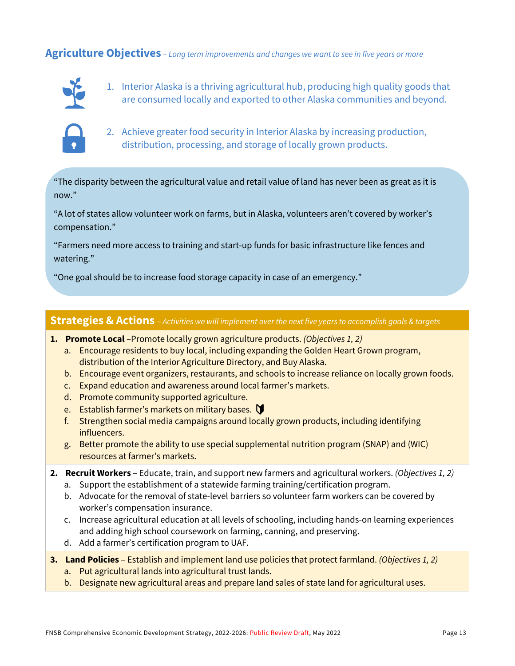#### **Agriculture Objectives** *– Long term improvements and changes we want to see in five years or more*



1. Interior Alaska is a thriving agricultural hub, producing high quality goods that are consumed locally and exported to other Alaska communities and beyond.



2. Achieve greater food security in Interior Alaska by increasing production, distribution, processing, and storage of locally grown products.

"The disparity between the agricultural value and retail value of land has never been as great as it is now."

"A lot of states allow volunteer work on farms, but in Alaska, volunteers aren't covered by worker's compensation."

"Farmers need more access to training and start-up funds for basic infrastructure like fences and watering."

"One goal should be to increase food storage capacity in case of an emergency."

#### **Strategies & Actions** – *Activities we will implement over the next five years to accomplish goals & targets*

- **1. Promote Local** –Promote locally grown agriculture products. *(Objectives 1, 2)*
	- a. Encourage residents to buy local, including expanding the Golden Heart Grown program, distribution of the Interior Agriculture Directory, and Buy Alaska.
	- b. Encourage event organizers, restaurants, and schools to increase reliance on locally grown foods.
	- c. Expand education and awareness around local farmer's markets.
	- d. Promote community supported agriculture.
	- e. Establish farmer's markets on military bases.  $\mathbf \mathbf \mathsf D$
	- f. Strengthen social media campaigns around locally grown products, including identifying influencers.
	- g. Better promote the ability to use special supplemental nutrition program (SNAP) and (WIC) resources at farmer's markets.
- **2. Recruit Workers**  Educate, train, and support new farmers and agricultural workers. *(Objectives 1, 2)*
	- a. Support the establishment of a statewide farming training/certification program.
	- b. Advocate for the removal of state-level barriers so volunteer farm workers can be covered by worker's compensation insurance.
	- c. Increase agricultural education at all levels of schooling, including hands-on learning experiences and adding high school coursework on farming, canning, and preserving.
	- d. Add a farmer's certification program to UAF.
- **3. Land Policies**  Establish and implement land use policies that protect farmland. *(Objectives 1, 2)*
	- a. Put agricultural lands into agricultural trust lands.
	- b. Designate new agricultural areas and prepare land sales of state land for agricultural uses.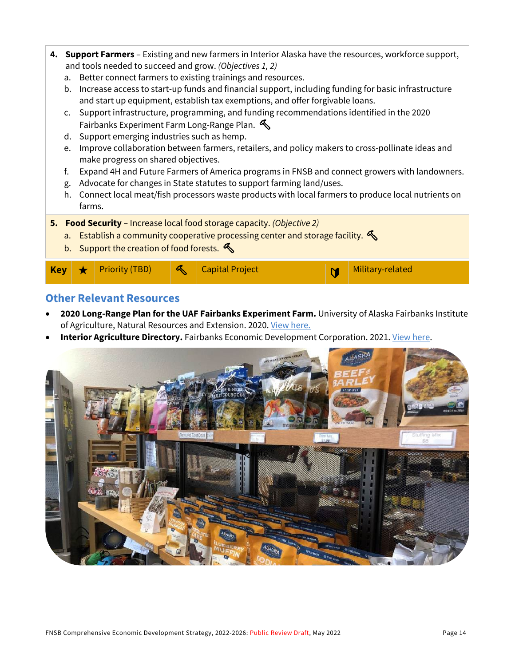- **4. Support Farmers**  Existing and new farmers in Interior Alaska have the resources, workforce support, and tools needed to succeed and grow. *(Objectives 1, 2)*
	- a. Better connect farmers to existing trainings and resources.
	- b. Increase access to start-up funds and financial support, including funding for basic infrastructure and start up equipment, establish tax exemptions, and offer forgivable loans.
	- c. Support infrastructure, programming, and funding recommendations identified in the 2020 Fairbanks Experiment Farm Long-Range Plan.
	- d. Support emerging industries such as hemp.
	- e. Improve collaboration between farmers, retailers, and policy makers to cross-pollinate ideas and make progress on shared objectives.
	- f. Expand 4H and Future Farmers of America programs in FNSB and connect growers with landowners.
	- g. Advocate for changes in State statutes to support farming land/uses.
	- h. Connect local meat/fish processors waste products with local farmers to produce local nutrients on farms.

**5. Food Security** – Increase local food storage capacity. *(Objective 2)*

- a. Establish a community cooperative processing center and storage facility.  $\mathcal{L}$
- b. Support the creation of food forests.

# Key **\*** Priority (TBD) **4** Capital Project **Military-related**

#### **Other Relevant Resources**

- **2020 Long-Range Plan for the UAF Fairbanks Experiment Farm.** University of Alaska Fairbanks Institute of Agriculture, Natural Resources and Extension. 2020. [View here.](https://uaf.edu/afes/places/fairbanks/2020%20Fairbanks%20Experiment%20Farm%20Plan.pdf)
- **Interior Agriculture Directory.** Fairbanks Economic Development Corporation. 2021[. View here.](https://www.investfairbanks.com/agriculture/)

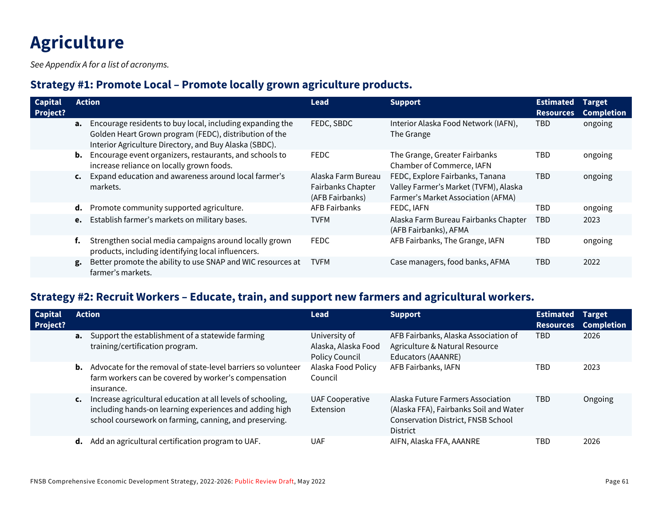# **Agriculture**

*See Appendix A for a list of acronyms.*

#### **Strategy #1: Promote Local – Promote locally grown agriculture products.**

| <b>Capital</b><br>Project? |    | <b>Action</b>                                                                                                                                                                           | <b>Lead</b>                                                | <b>Support</b>                                                                                                 | <b>Estimated</b><br><b>Resources</b> | <b>Target</b><br><b>Completion</b> |
|----------------------------|----|-----------------------------------------------------------------------------------------------------------------------------------------------------------------------------------------|------------------------------------------------------------|----------------------------------------------------------------------------------------------------------------|--------------------------------------|------------------------------------|
|                            |    | <b>a.</b> Encourage residents to buy local, including expanding the<br>Golden Heart Grown program (FEDC), distribution of the<br>Interior Agriculture Directory, and Buy Alaska (SBDC). | FEDC, SBDC                                                 | Interior Alaska Food Network (IAFN),<br>The Grange                                                             | TBD.                                 | ongoing                            |
|                            |    | <b>b.</b> Encourage event organizers, restaurants, and schools to<br>increase reliance on locally grown foods.                                                                          | <b>FEDC</b>                                                | The Grange, Greater Fairbanks<br>Chamber of Commerce, IAFN                                                     | <b>TBD</b>                           | ongoing                            |
|                            |    | c. Expand education and awareness around local farmer's<br>markets.                                                                                                                     | Alaska Farm Bureau<br>Fairbanks Chapter<br>(AFB Fairbanks) | FEDC, Explore Fairbanks, Tanana<br>Valley Farmer's Market (TVFM), Alaska<br>Farmer's Market Association (AFMA) | <b>TBD</b>                           | ongoing                            |
|                            | d. | Promote community supported agriculture.                                                                                                                                                | AFB Fairbanks                                              | FEDC, IAFN                                                                                                     | <b>TBD</b>                           | ongoing                            |
|                            | e. | Establish farmer's markets on military bases.                                                                                                                                           | <b>TVFM</b>                                                | Alaska Farm Bureau Fairbanks Chapter<br>(AFB Fairbanks), AFMA                                                  | <b>TBD</b>                           | 2023                               |
|                            | f. | Strengthen social media campaigns around locally grown<br>products, including identifying local influencers.                                                                            | <b>FEDC</b>                                                | AFB Fairbanks, The Grange, IAFN                                                                                | <b>TBD</b>                           | ongoing                            |
|                            | g. | Better promote the ability to use SNAP and WIC resources at<br>farmer's markets.                                                                                                        | <b>TVFM</b>                                                | Case managers, food banks, AFMA                                                                                | <b>TBD</b>                           | 2022                               |

### **Strategy #2: Recruit Workers – Educate, train, and support new farmers and agricultural workers.**

| <b>Capital</b><br><b>Project?</b> |                | <b>Action</b>                                                                                                                                                                    | <b>Lead</b>                                                   | <b>Support</b>                                                                                                                              | <b>Estimated</b><br><b>Resources</b> | <b>Target</b><br><b>Completion</b> |
|-----------------------------------|----------------|----------------------------------------------------------------------------------------------------------------------------------------------------------------------------------|---------------------------------------------------------------|---------------------------------------------------------------------------------------------------------------------------------------------|--------------------------------------|------------------------------------|
|                                   |                | <b>a.</b> Support the establishment of a statewide farming<br>training/certification program.                                                                                    | University of<br>Alaska, Alaska Food<br><b>Policy Council</b> | AFB Fairbanks, Alaska Association of<br>Agriculture & Natural Resource<br>Educators (AAANRE)                                                | TBD                                  | 2026                               |
|                                   |                | <b>b.</b> Advocate for the removal of state-level barriers so volunteer<br>farm workers can be covered by worker's compensation<br>insurance.                                    | Alaska Food Policy<br>Council                                 | AFB Fairbanks, IAFN                                                                                                                         | TBD                                  | 2023                               |
|                                   | $\mathsf{c}$ . | Increase agricultural education at all levels of schooling,<br>including hands-on learning experiences and adding high<br>school coursework on farming, canning, and preserving. | <b>UAF Cooperative</b><br>Extension                           | Alaska Future Farmers Association<br>(Alaska FFA), Fairbanks Soil and Water<br><b>Conservation District, FNSB School</b><br><b>District</b> | TBD                                  | Ongoing                            |
|                                   | d.             | Add an agricultural certification program to UAF.                                                                                                                                | <b>UAF</b>                                                    | AIFN, Alaska FFA, AAANRE                                                                                                                    | TBD                                  | 2026                               |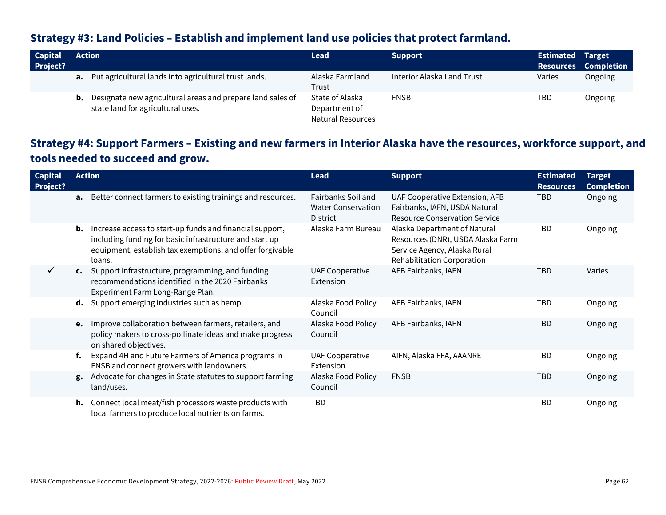#### **Strategy #3: Land Policies – Establish and implement land use policies that protect farmland.**

| <b>Capital</b><br>Project? | Action                                                                                                | Lead                                                         | <b>Support</b>             | <b>Estimated Target</b> | <b>Resources Completion</b> |
|----------------------------|-------------------------------------------------------------------------------------------------------|--------------------------------------------------------------|----------------------------|-------------------------|-----------------------------|
|                            | <b>a.</b> Put agricultural lands into agricultural trust lands.                                       | Alaska Farmland<br>Trust                                     | Interior Alaska Land Trust | Varies                  | Ongoing                     |
|                            | Designate new agricultural areas and prepare land sales of<br>b.<br>state land for agricultural uses. | State of Alaska<br>Department of<br><b>Natural Resources</b> | <b>FNSB</b>                | TBD                     | Ongoing                     |

## **Strategy #4: Support Farmers – Existing and new farmers in Interior Alaska have the resources, workforce support, and tools needed to succeed and grow.**

| <b>Capital</b><br>Project? |    | <b>Action</b>                                                                                                                                                                              | <b>Lead</b>                                                        | <b>Support</b>                                                                                                                  | <b>Estimated</b><br><b>Resources</b> | <b>Target</b><br><b>Completion</b> |
|----------------------------|----|--------------------------------------------------------------------------------------------------------------------------------------------------------------------------------------------|--------------------------------------------------------------------|---------------------------------------------------------------------------------------------------------------------------------|--------------------------------------|------------------------------------|
|                            | а. | Better connect farmers to existing trainings and resources.                                                                                                                                | Fairbanks Soil and<br><b>Water Conservation</b><br><b>District</b> | UAF Cooperative Extension, AFB<br>Fairbanks, IAFN, USDA Natural<br><b>Resource Conservation Service</b>                         | TBD                                  | Ongoing                            |
|                            | b. | Increase access to start-up funds and financial support,<br>including funding for basic infrastructure and start up<br>equipment, establish tax exemptions, and offer forgivable<br>loans. | Alaska Farm Bureau                                                 | Alaska Department of Natural<br>Resources (DNR), USDA Alaska Farm<br>Service Agency, Alaska Rural<br>Rehabilitation Corporation | TBD                                  | Ongoing                            |
|                            |    | c. Support infrastructure, programming, and funding<br>recommendations identified in the 2020 Fairbanks<br>Experiment Farm Long-Range Plan.                                                | <b>UAF Cooperative</b><br>Extension                                | AFB Fairbanks, IAFN                                                                                                             | <b>TBD</b>                           | Varies                             |
|                            | d. | Support emerging industries such as hemp.                                                                                                                                                  | Alaska Food Policy<br>Council                                      | AFB Fairbanks, IAFN                                                                                                             | TBD                                  | Ongoing                            |
|                            | e. | Improve collaboration between farmers, retailers, and<br>policy makers to cross-pollinate ideas and make progress<br>on shared objectives.                                                 | Alaska Food Policy<br>Council                                      | AFB Fairbanks, IAFN                                                                                                             | <b>TBD</b>                           | Ongoing                            |
|                            | f. | Expand 4H and Future Farmers of America programs in<br>FNSB and connect growers with landowners.                                                                                           | <b>UAF Cooperative</b><br>Extension                                | AIFN, Alaska FFA, AAANRE                                                                                                        | TBD                                  | Ongoing                            |
|                            | g. | Advocate for changes in State statutes to support farming<br>land/uses.                                                                                                                    | Alaska Food Policy<br>Council                                      | <b>FNSB</b>                                                                                                                     | <b>TBD</b>                           | Ongoing                            |
|                            | h. | Connect local meat/fish processors waste products with<br>local farmers to produce local nutrients on farms.                                                                               | <b>TBD</b>                                                         |                                                                                                                                 | TBD                                  | Ongoing                            |